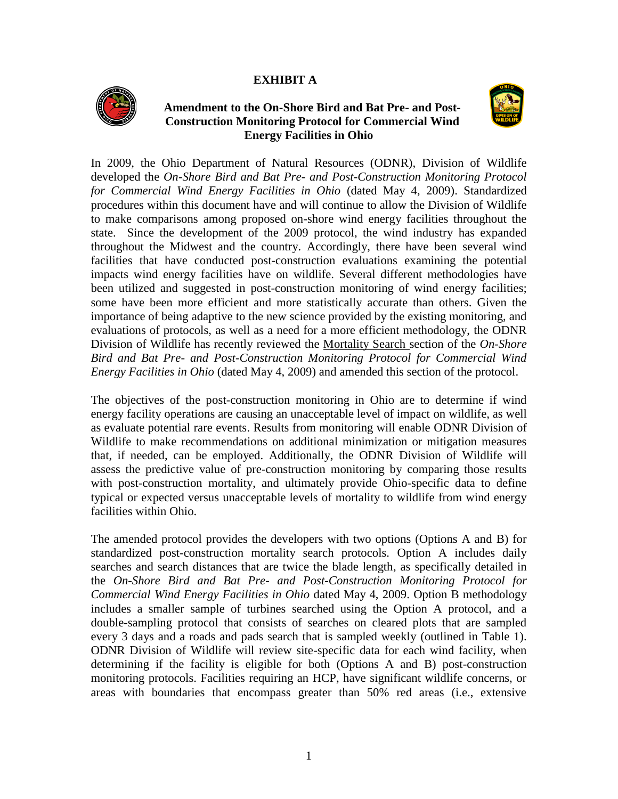## **EXHIBIT A**



# **Amendment to the On-Shore Bird and Bat Pre- and Post-Construction Monitoring Protocol for Commercial Wind Energy Facilities in Ohio**



In 2009, the Ohio Department of Natural Resources (ODNR), Division of Wildlife developed the *On-Shore Bird and Bat Pre- and Post-Construction Monitoring Protocol for Commercial Wind Energy Facilities in Ohio* (dated May 4, 2009). Standardized procedures within this document have and will continue to allow the Division of Wildlife to make comparisons among proposed on-shore wind energy facilities throughout the state. Since the development of the 2009 protocol, the wind industry has expanded throughout the Midwest and the country. Accordingly, there have been several wind facilities that have conducted post-construction evaluations examining the potential impacts wind energy facilities have on wildlife. Several different methodologies have been utilized and suggested in post-construction monitoring of wind energy facilities; some have been more efficient and more statistically accurate than others. Given the importance of being adaptive to the new science provided by the existing monitoring, and evaluations of protocols, as well as a need for a more efficient methodology, the ODNR Division of Wildlife has recently reviewed the Mortality Search section of the *On-Shore Bird and Bat Pre- and Post-Construction Monitoring Protocol for Commercial Wind Energy Facilities in Ohio* (dated May 4, 2009) and amended this section of the protocol.

The objectives of the post-construction monitoring in Ohio are to determine if wind energy facility operations are causing an unacceptable level of impact on wildlife, as well as evaluate potential rare events. Results from monitoring will enable ODNR Division of Wildlife to make recommendations on additional minimization or mitigation measures that, if needed, can be employed. Additionally, the ODNR Division of Wildlife will assess the predictive value of pre-construction monitoring by comparing those results with post-construction mortality, and ultimately provide Ohio-specific data to define typical or expected versus unacceptable levels of mortality to wildlife from wind energy facilities within Ohio.

The amended protocol provides the developers with two options (Options A and B) for standardized post-construction mortality search protocols. Option A includes daily searches and search distances that are twice the blade length, as specifically detailed in the *On-Shore Bird and Bat Pre- and Post-Construction Monitoring Protocol for Commercial Wind Energy Facilities in Ohio* dated May 4, 2009. Option B methodology includes a smaller sample of turbines searched using the Option A protocol, and a double-sampling protocol that consists of searches on cleared plots that are sampled every 3 days and a roads and pads search that is sampled weekly (outlined in Table 1). ODNR Division of Wildlife will review site-specific data for each wind facility, when determining if the facility is eligible for both (Options A and B) post-construction monitoring protocols. Facilities requiring an HCP, have significant wildlife concerns, or areas with boundaries that encompass greater than 50% red areas (i.e., extensive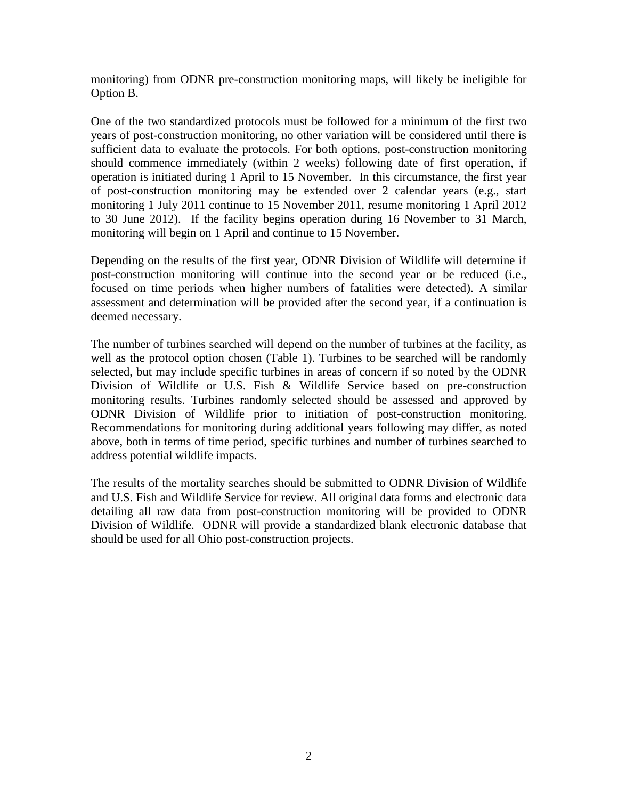monitoring) from ODNR pre-construction monitoring maps, will likely be ineligible for Option B.

One of the two standardized protocols must be followed for a minimum of the first two years of post-construction monitoring, no other variation will be considered until there is sufficient data to evaluate the protocols. For both options, post-construction monitoring should commence immediately (within 2 weeks) following date of first operation, if operation is initiated during 1 April to 15 November. In this circumstance, the first year of post-construction monitoring may be extended over 2 calendar years (e.g., start monitoring 1 July 2011 continue to 15 November 2011, resume monitoring 1 April 2012 to 30 June 2012). If the facility begins operation during 16 November to 31 March, monitoring will begin on 1 April and continue to 15 November.

Depending on the results of the first year, ODNR Division of Wildlife will determine if post-construction monitoring will continue into the second year or be reduced (i.e., focused on time periods when higher numbers of fatalities were detected). A similar assessment and determination will be provided after the second year, if a continuation is deemed necessary.

The number of turbines searched will depend on the number of turbines at the facility, as well as the protocol option chosen (Table 1). Turbines to be searched will be randomly selected, but may include specific turbines in areas of concern if so noted by the ODNR Division of Wildlife or U.S. Fish & Wildlife Service based on pre-construction monitoring results. Turbines randomly selected should be assessed and approved by ODNR Division of Wildlife prior to initiation of post-construction monitoring. Recommendations for monitoring during additional years following may differ, as noted above, both in terms of time period, specific turbines and number of turbines searched to address potential wildlife impacts.

The results of the mortality searches should be submitted to ODNR Division of Wildlife and U.S. Fish and Wildlife Service for review. All original data forms and electronic data detailing all raw data from post-construction monitoring will be provided to ODNR Division of Wildlife. ODNR will provide a standardized blank electronic database that should be used for all Ohio post-construction projects.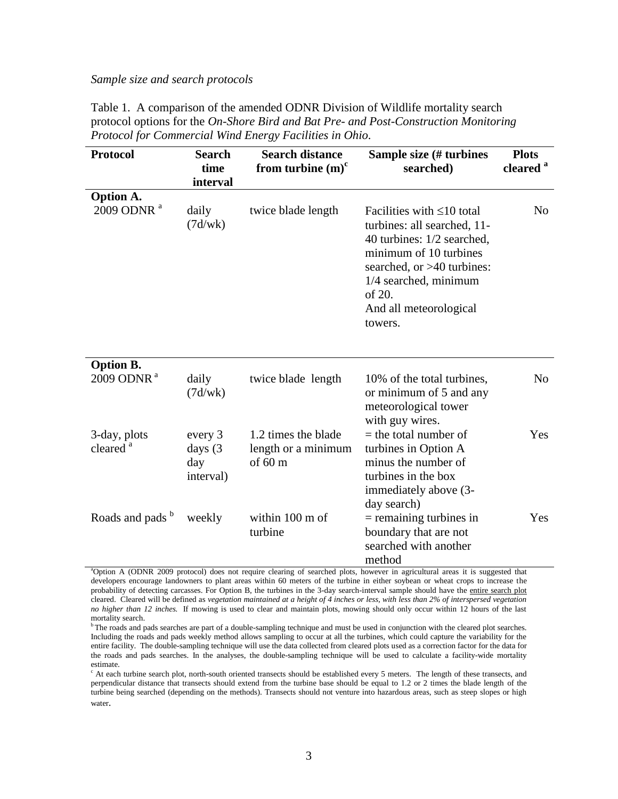#### *Sample size and search protocols*

| Table 1. A comparison of the amended ODNR Division of Wildlife mortality search      |
|--------------------------------------------------------------------------------------|
| protocol options for the On-Shore Bird and Bat Pre- and Post-Construction Monitoring |
| Protocol for Commercial Wind Energy Facilities in Ohio.                              |

| <b>Protocol</b>                            | <b>Search</b><br>time<br>interval      | <b>Search distance</b><br>from turbine $(m)^c$                  | Sample size (# turbines<br>searched)                                                                                                                                                                                           | <b>Plots</b><br>cleared <sup>a</sup> |
|--------------------------------------------|----------------------------------------|-----------------------------------------------------------------|--------------------------------------------------------------------------------------------------------------------------------------------------------------------------------------------------------------------------------|--------------------------------------|
| <b>Option A.</b>                           |                                        |                                                                 |                                                                                                                                                                                                                                |                                      |
| 2009 ODNR <sup>a</sup>                     | daily<br>(7d/wk)                       | twice blade length                                              | Facilities with $\leq 10$ total<br>turbines: all searched, 11-<br>40 turbines: 1/2 searched,<br>minimum of 10 turbines<br>searched, or >40 turbines:<br>$1/4$ searched, minimum<br>of 20.<br>And all meteorological<br>towers. | N <sub>0</sub>                       |
| <b>Option B.</b><br>2009 ODNR <sup>a</sup> | daily<br>(7d/wk)                       | twice blade length                                              | 10% of the total turbines,<br>or minimum of 5 and any<br>meteorological tower<br>with guy wires.                                                                                                                               | No                                   |
| 3-day, plots<br>cleared <sup>a</sup>       | every 3<br>days (3<br>day<br>interval) | 1.2 times the blade<br>length or a minimum<br>of $60 \text{ m}$ | $=$ the total number of<br>turbines in Option A<br>minus the number of<br>turbines in the box<br>immediately above (3-                                                                                                         | Yes                                  |
| Roads and pads <sup>b</sup>                | weekly                                 | within 100 m of<br>turbine                                      | day search)<br>$=$ remaining turbines in<br>boundary that are not<br>searched with another<br>method                                                                                                                           | Yes                                  |

<sup>a</sup>Option A (ODNR 2009 protocol) does not require clearing of searched plots, however in agricultural areas it is suggested that developers encourage landowners to plant areas within 60 meters of the turbine in either soybean or wheat crops to increase the probability of detecting carcasses. For Option B, the turbines in the 3-day search-interval sample should have the entire search plot cleared. Cleared will be defined as *vegetation maintained at a height of 4 inches or less, with less than 2% of interspersed vegetation no higher than 12 inches.* If mowing is used to clear and maintain plots, mowing should only occur within 12 hours of the last mortality search.

b The roads and pads searches are part of a double-sampling technique and must be used in conjunction with the cleared plot searches. Including the roads and pads weekly method allows sampling to occur at all the turbines, which could capture the variability for the entire facility. The double-sampling technique will use the data collected from cleared plots used as a correction factor for the data for the roads and pads searches. In the analyses, the double-sampling technique will be used to calculate a facility-wide mortality estimate.

 $c$  At each turbine search plot, north-south oriented transects should be established every 5 meters. The length of these transects, and perpendicular distance that transects should extend from the turbine base should be equal to 1.2 or 2 times the blade length of the turbine being searched (depending on the methods). Transects should not venture into hazardous areas, such as steep slopes or high water.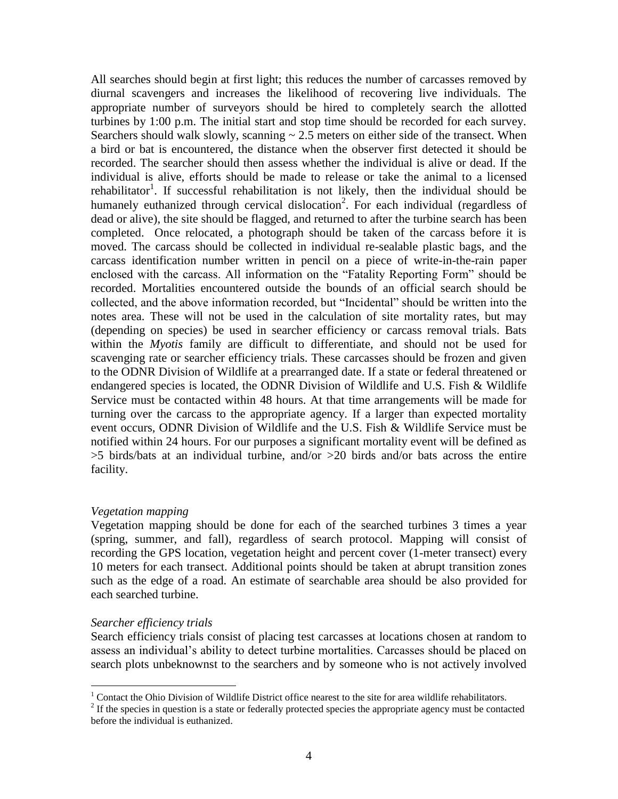All searches should begin at first light; this reduces the number of carcasses removed by diurnal scavengers and increases the likelihood of recovering live individuals. The appropriate number of surveyors should be hired to completely search the allotted turbines by 1:00 p.m. The initial start and stop time should be recorded for each survey. Searchers should walk slowly, scanning  $\sim 2.5$  meters on either side of the transect. When a bird or bat is encountered, the distance when the observer first detected it should be recorded. The searcher should then assess whether the individual is alive or dead. If the individual is alive, efforts should be made to release or take the animal to a licensed rehabilitator<sup>1</sup>. If successful rehabilitation is not likely, then the individual should be humanely euthanized through cervical dislocation<sup>2</sup>. For each individual (regardless of dead or alive), the site should be flagged, and returned to after the turbine search has been completed. Once relocated, a photograph should be taken of the carcass before it is moved. The carcass should be collected in individual re-sealable plastic bags, and the carcass identification number written in pencil on a piece of write-in-the-rain paper enclosed with the carcass. All information on the "Fatality Reporting Form" should be recorded. Mortalities encountered outside the bounds of an official search should be collected, and the above information recorded, but "Incidental" should be written into the notes area. These will not be used in the calculation of site mortality rates, but may (depending on species) be used in searcher efficiency or carcass removal trials. Bats within the *Myotis* family are difficult to differentiate, and should not be used for scavenging rate or searcher efficiency trials. These carcasses should be frozen and given to the ODNR Division of Wildlife at a prearranged date. If a state or federal threatened or endangered species is located, the ODNR Division of Wildlife and U.S. Fish & Wildlife Service must be contacted within 48 hours. At that time arrangements will be made for turning over the carcass to the appropriate agency. If a larger than expected mortality event occurs, ODNR Division of Wildlife and the U.S. Fish & Wildlife Service must be notified within 24 hours. For our purposes a significant mortality event will be defined as >5 birds/bats at an individual turbine, and/or >20 birds and/or bats across the entire facility.

## *Vegetation mapping*

Vegetation mapping should be done for each of the searched turbines 3 times a year (spring, summer, and fall), regardless of search protocol. Mapping will consist of recording the GPS location, vegetation height and percent cover (1-meter transect) every 10 meters for each transect. Additional points should be taken at abrupt transition zones such as the edge of a road. An estimate of searchable area should be also provided for each searched turbine.

## *Searcher efficiency trials*

 $\overline{a}$ 

Search efficiency trials consist of placing test carcasses at locations chosen at random to assess an individual's ability to detect turbine mortalities. Carcasses should be placed on search plots unbeknownst to the searchers and by someone who is not actively involved

<sup>&</sup>lt;sup>1</sup> Contact the Ohio Division of Wildlife District office nearest to the site for area wildlife rehabilitators.

 $2<sup>2</sup>$  If the species in question is a state or federally protected species the appropriate agency must be contacted before the individual is euthanized.